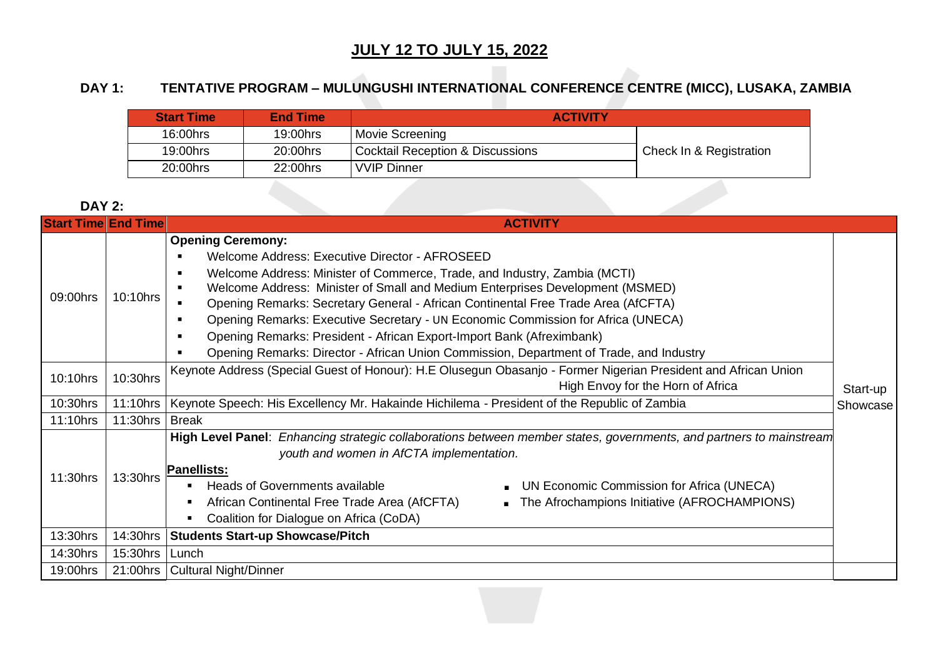### **JULY 12 TO JULY 15, 2022**

# **DAY 1: TENTATIVE PROGRAM – MULUNGUSHI INTERNATIONAL CONFERENCE CENTRE (MICC), LUSAKA, ZAMBIA**

| <b>Start Time</b> | <b>End Time</b> | <b>ACTIVITY</b>                  |                         |
|-------------------|-----------------|----------------------------------|-------------------------|
| 16:00hrs          | 19:00hrs        | Movie Screening                  |                         |
| 19:00hrs          | 20:00hrs        | Cocktail Reception & Discussions | Check In & Registration |
| 20:00hrs          | 22:00hrs        | <b>VVIP Dinner</b>               |                         |

#### **DAY 2:**

| <b>Start Time End Time</b> |          | <b>ACTIVITY</b>                                                                                                                                                                                                                                                                                                                                                                                                                                                                                                                                                                                                                                                                                   |  |  |  |  |  |
|----------------------------|----------|---------------------------------------------------------------------------------------------------------------------------------------------------------------------------------------------------------------------------------------------------------------------------------------------------------------------------------------------------------------------------------------------------------------------------------------------------------------------------------------------------------------------------------------------------------------------------------------------------------------------------------------------------------------------------------------------------|--|--|--|--|--|
| 09:00hrs                   | 10:10hrs | <b>Opening Ceremony:</b><br>Welcome Address: Executive Director - AFROSEED<br>Welcome Address: Minister of Commerce, Trade, and Industry, Zambia (MCTI)<br>$\blacksquare$<br>Welcome Address: Minister of Small and Medium Enterprises Development (MSMED)<br>$\blacksquare$<br>Opening Remarks: Secretary General - African Continental Free Trade Area (AfCFTA)<br>$\blacksquare$<br>Opening Remarks: Executive Secretary - UN Economic Commission for Africa (UNECA)<br>$\blacksquare$<br>Opening Remarks: President - African Export-Import Bank (Afreximbank)<br>$\blacksquare$<br>Opening Remarks: Director - African Union Commission, Department of Trade, and Industry<br>$\blacksquare$ |  |  |  |  |  |
| 10:10hrs                   | 10:30hrs | Keynote Address (Special Guest of Honour): H.E Olusegun Obasanjo - Former Nigerian President and African Union<br>High Envoy for the Horn of Africa<br>Start-up                                                                                                                                                                                                                                                                                                                                                                                                                                                                                                                                   |  |  |  |  |  |
| 10:30hrs                   | 11:10hrs | Keynote Speech: His Excellency Mr. Hakainde Hichilema - President of the Republic of Zambia<br>Showcase                                                                                                                                                                                                                                                                                                                                                                                                                                                                                                                                                                                           |  |  |  |  |  |
| 11:10hrs                   | 11:30hrs | Break                                                                                                                                                                                                                                                                                                                                                                                                                                                                                                                                                                                                                                                                                             |  |  |  |  |  |
| 11:30hrs                   | 13:30hrs | High Level Panel: Enhancing strategic collaborations between member states, governments, and partners to mainstream<br>youth and women in AfCTA implementation.<br><b>Panellists:</b><br><b>Heads of Governments available</b><br>UN Economic Commission for Africa (UNECA)<br>The Afrochampions Initiative (AFROCHAMPIONS)<br>African Continental Free Trade Area (AfCFTA)<br>Coalition for Dialogue on Africa (CoDA)                                                                                                                                                                                                                                                                            |  |  |  |  |  |
| 13:30hrs                   | 14:30hrs | <b>Students Start-up Showcase/Pitch</b>                                                                                                                                                                                                                                                                                                                                                                                                                                                                                                                                                                                                                                                           |  |  |  |  |  |
| 14:30hrs                   | 15:30hrs | Lunch                                                                                                                                                                                                                                                                                                                                                                                                                                                                                                                                                                                                                                                                                             |  |  |  |  |  |
| 19:00hrs                   | 21:00hrs | <b>Cultural Night/Dinner</b>                                                                                                                                                                                                                                                                                                                                                                                                                                                                                                                                                                                                                                                                      |  |  |  |  |  |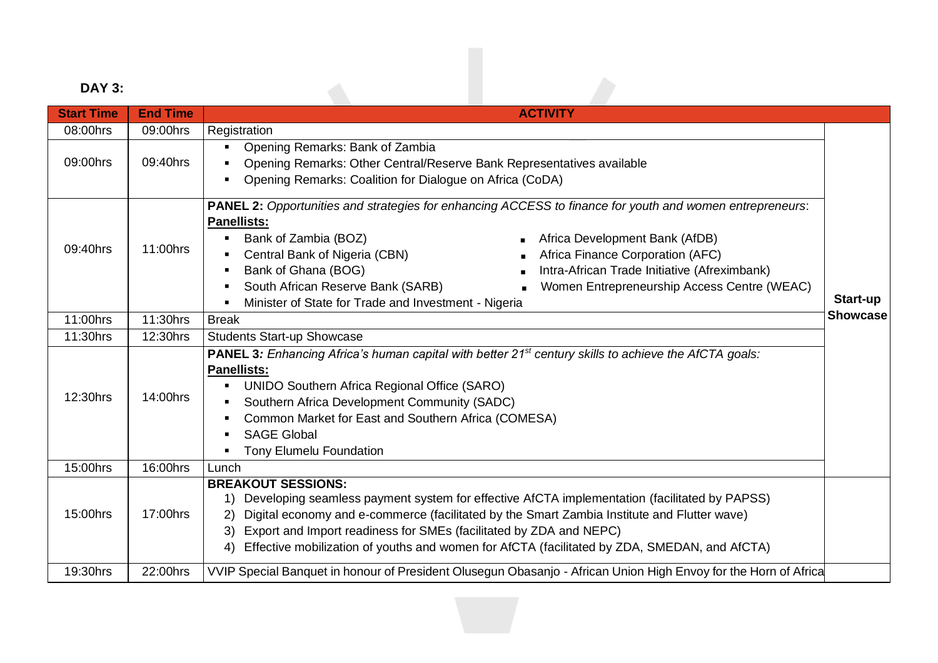# **DAY 3:**

| <b>DAY 3:</b>     |                 |                                                                                                                                                                                                                                                                                                                                                                                                                                                                                  |                             |  |  |
|-------------------|-----------------|----------------------------------------------------------------------------------------------------------------------------------------------------------------------------------------------------------------------------------------------------------------------------------------------------------------------------------------------------------------------------------------------------------------------------------------------------------------------------------|-----------------------------|--|--|
| <b>Start Time</b> | <b>End Time</b> | <b>ACTIVITY</b>                                                                                                                                                                                                                                                                                                                                                                                                                                                                  |                             |  |  |
| 08:00hrs          | 09:00hrs        | Registration                                                                                                                                                                                                                                                                                                                                                                                                                                                                     |                             |  |  |
| 09:00hrs          | 09:40hrs        | Opening Remarks: Bank of Zambia<br>Opening Remarks: Other Central/Reserve Bank Representatives available<br>Opening Remarks: Coalition for Dialogue on Africa (CoDA)                                                                                                                                                                                                                                                                                                             |                             |  |  |
| 09:40hrs          | 11:00hrs        | PANEL 2: Opportunities and strategies for enhancing ACCESS to finance for youth and women entrepreneurs:<br><b>Panellists:</b><br>Bank of Zambia (BOZ)<br>Africa Development Bank (AfDB)<br>Central Bank of Nigeria (CBN)<br>Africa Finance Corporation (AFC)<br>Bank of Ghana (BOG)<br>Intra-African Trade Initiative (Afreximbank)<br>South African Reserve Bank (SARB)<br>Women Entrepreneurship Access Centre (WEAC)<br>Minister of State for Trade and Investment - Nigeria | Start-up<br><b>Showcase</b> |  |  |
| 11:00hrs          | 11:30hrs        | <b>Break</b>                                                                                                                                                                                                                                                                                                                                                                                                                                                                     |                             |  |  |
| 11:30hrs          | 12:30hrs        | <b>Students Start-up Showcase</b>                                                                                                                                                                                                                                                                                                                                                                                                                                                |                             |  |  |
| 12:30hrs          | 14:00hrs        | <b>PANEL 3:</b> Enhancing Africa's human capital with better 21 <sup>st</sup> century skills to achieve the AfCTA goals:<br><b>Panellists:</b><br><b>UNIDO Southern Africa Regional Office (SARO)</b><br>Southern Africa Development Community (SADC)<br>Common Market for East and Southern Africa (COMESA)<br><b>SAGE Global</b><br>Tony Elumelu Foundation                                                                                                                    |                             |  |  |
| 15:00hrs          | 16:00hrs        | Lunch                                                                                                                                                                                                                                                                                                                                                                                                                                                                            |                             |  |  |
| 15:00hrs          | 17:00hrs        | <b>BREAKOUT SESSIONS:</b><br>1) Developing seamless payment system for effective AfCTA implementation (facilitated by PAPSS)<br>Digital economy and e-commerce (facilitated by the Smart Zambia Institute and Flutter wave)<br>Export and Import readiness for SMEs (facilitated by ZDA and NEPC)<br>3)<br>Effective mobilization of youths and women for AfCTA (facilitated by ZDA, SMEDAN, and AfCTA)<br>4)                                                                    |                             |  |  |
| 19:30hrs          | 22:00hrs        | VVIP Special Banquet in honour of President Olusegun Obasanjo - African Union High Envoy for the Horn of Africa                                                                                                                                                                                                                                                                                                                                                                  |                             |  |  |